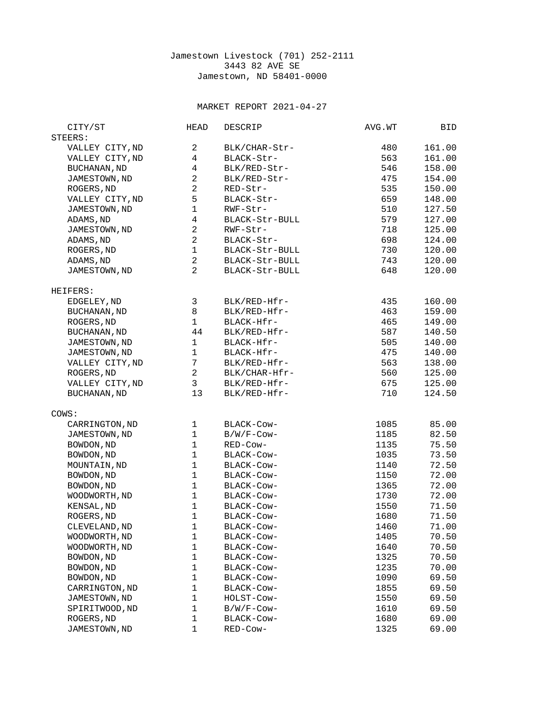## Jamestown Livestock (701) 252-2111 3443 82 AVE SE Jamestown, ND 58401-0000

## MARKET REPORT 2021-04-27

| CITY/ST             | <b>HEAD</b>              | <b>DESCRIP</b> | AVG.WT | BID    |
|---------------------|--------------------------|----------------|--------|--------|
| STEERS:             |                          |                |        |        |
| VALLEY CITY, ND     | $\overline{2}$           | BLK/CHAR-Str-  | 480    | 161.00 |
| VALLEY CITY, ND     | $\overline{4}$           | BLACK-Str-     | 563    | 161.00 |
| BUCHANAN, ND        | 4                        | BLK/RED-Str-   | 546    | 158.00 |
| JAMESTOWN, ND       | $\overline{c}$           | BLK/RED-Str-   | 475    | 154.00 |
| ROGERS, ND          | $\overline{c}$           | RED-Str-       | 535    | 150.00 |
| VALLEY CITY, ND     | 5                        | BLACK-Str-     | 659    | 148.00 |
| JAMESTOWN, ND       | $\mathbf 1$              | RWF-Str-       | 510    | 127.50 |
|                     | $\overline{\mathcal{A}}$ |                | 579    |        |
| ADAMS, ND           |                          | BLACK-Str-BULL |        | 127.00 |
| JAMESTOWN, ND       | $\boldsymbol{2}$         | RWF-Str-       | 718    | 125.00 |
| ADAMS, ND           | $\overline{c}$           | BLACK-Str-     | 698    | 124.00 |
| ROGERS, ND          | $\mathbf 1$              | BLACK-Str-BULL | 730    | 120.00 |
| ADAMS, ND           | $\mathbf{2}$             | BLACK-Str-BULL | 743    | 120.00 |
| JAMESTOWN, ND       | $\overline{2}$           | BLACK-Str-BULL | 648    | 120.00 |
| HEIFERS:            |                          |                |        |        |
| EDGELEY, ND         | 3                        | BLK/RED-Hfr-   | 435    | 160.00 |
| <b>BUCHANAN, ND</b> | 8                        | BLK/RED-Hfr-   | 463    | 159.00 |
| ROGERS, ND          | $\mathbf{1}$             | BLACK-Hfr-     | 465    | 149.00 |
| <b>BUCHANAN, ND</b> | 44                       | BLK/RED-Hfr-   | 587    | 140.50 |
| JAMESTOWN, ND       | $\mathbf{1}$             | BLACK-Hfr-     | 505    | 140.00 |
| JAMESTOWN, ND       | $\mathbf 1$              | BLACK-Hfr-     | 475    | 140.00 |
| VALLEY CITY, ND     | $\overline{7}$           | BLK/RED-Hfr-   | 563    | 138.00 |
| ROGERS, ND          | $\overline{c}$           | BLK/CHAR-Hfr-  | 560    | 125.00 |
| VALLEY CITY, ND     | 3                        | BLK/RED-Hfr-   | 675    | 125.00 |
| BUCHANAN, ND        | 13                       | BLK/RED-Hfr-   | 710    | 124.50 |
| COWS:               |                          |                |        |        |
| CARRINGTON, ND      | 1                        | BLACK-COW-     | 1085   | 85.00  |
| JAMESTOWN, ND       | $\mathbf{1}$             | B/W/F-Cow-     | 1185   | 82.50  |
| BOWDON, ND          | $\mathbf{1}$             | RED-Cow-       | 1135   | 75.50  |
| BOWDON, ND          | $\mathbf 1$              | BLACK-COW-     | 1035   | 73.50  |
| MOUNTAIN, ND        | $\mathbf{1}$             | BLACK-Cow-     | 1140   | 72.50  |
| BOWDON, ND          | $\mathbf 1$              | BLACK-Cow-     | 1150   | 72.00  |
| BOWDON, ND          | $\mathbf{1}$             | BLACK-Cow-     | 1365   | 72.00  |
| WOODWORTH, ND       | $\mathbf 1$              | BLACK-Cow-     | 1730   | 72.00  |
| KENSAL, ND          | $\mathbf{1}$             | BLACK-Cow-     | 1550   | 71.50  |
|                     | $\mathbf{1}$             |                |        | 71.50  |
| ROGERS, ND          |                          | BLACK-COW-     | 1680   |        |
| CLEVELAND, ND       | $\mathbf{1}$             | BLACK-COW-     | 1460   | 71.00  |
| WOODWORTH, ND       | 1                        | BLACK-COW-     | 1405   | 70.50  |
| WOODWORTH, ND       | $\mathbf{1}$             | BLACK-Cow-     | 1640   | 70.50  |
| BOWDON, ND          | $\mathbf{1}$             | BLACK-Cow-     | 1325   | 70.50  |
| BOWDON, ND          | 1                        | BLACK-Cow-     | 1235   | 70.00  |
| BOWDON, ND          | $\mathbf{1}$             | BLACK-Cow-     | 1090   | 69.50  |
| CARRINGTON, ND      | 1                        | BLACK-Cow-     | 1855   | 69.50  |
| JAMESTOWN, ND       | $\mathbf 1$              | HOLST-Cow-     | 1550   | 69.50  |
| SPIRITWOOD, ND      | $\mathbf{1}$             | B/W/F-Cow-     | 1610   | 69.50  |
| ROGERS, ND          | 1                        | BLACK-Cow-     | 1680   | 69.00  |
| JAMESTOWN, ND       | 1                        | RED-Cow-       | 1325   | 69.00  |